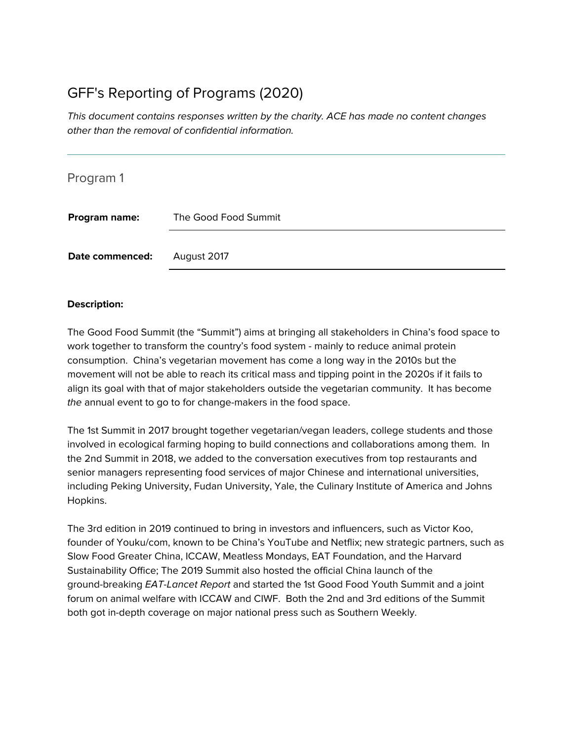# GFF's Reporting of Programs (2020)

This document contains responses written by the charity. ACE has made no content changes other than the removal of confidential information.

| Program 1       |                      |
|-----------------|----------------------|
| Program name:   | The Good Food Summit |
| Date commenced: | August 2017          |

#### **Description:**

The Good Food Summit (the "Summit") aims at bringing all stakeholders in China's food space to work together to transform the country's food system - mainly to reduce animal protein consumption. China's vegetarian movement has come a long way in the 2010s but the movement will not be able to reach its critical mass and tipping point in the 2020s if it fails to align its goal with that of major stakeholders outside the vegetarian community. It has become the annual event to go to for change-makers in the food space.

The 1st Summit in 2017 brought together vegetarian/vegan leaders, college students and those involved in ecological farming hoping to build connections and collaborations among them. In the 2nd Summit in 2018, we added to the conversation executives from top restaurants and senior managers representing food services of major Chinese and international universities, including Peking University, Fudan University, Yale, the Culinary Institute of America and Johns Hopkins.

The 3rd edition in 2019 continued to bring in investors and influencers, such as Victor Koo, founder of Youku/com, known to be China's YouTube and Netflix; new strategic partners, such as Slow Food Greater China, ICCAW, Meatless Mondays, EAT Foundation, and the Harvard Sustainability Office; The 2019 Summit also hosted the official China launch of the ground-breaking EAT-Lancet Report and started the 1st Good Food Youth Summit and a joint forum on animal welfare with ICCAW and CIWF. Both the 2nd and 3rd editions of the Summit both got in-depth coverage on major national press such as Southern Weekly.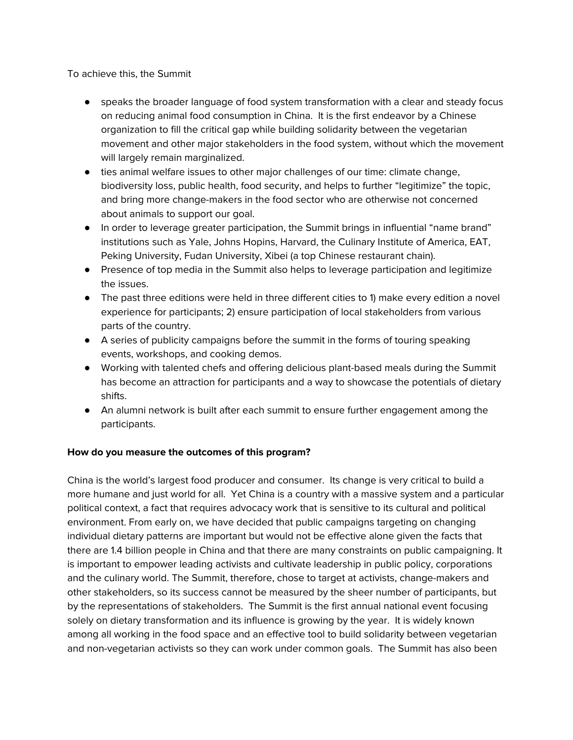To achieve this, the Summit

- speaks the broader language of food system transformation with a clear and steady focus on reducing animal food consumption in China. It is the first endeavor by a Chinese organization to fill the critical gap while building solidarity between the vegetarian movement and other major stakeholders in the food system, without which the movement will largely remain marginalized.
- ties animal welfare issues to other major challenges of our time: climate change, biodiversity loss, public health, food security, and helps to further "legitimize" the topic, and bring more change-makers in the food sector who are otherwise not concerned about animals to support our goal.
- In order to leverage greater participation, the Summit brings in influential "name brand" institutions such as Yale, Johns Hopins, Harvard, the Culinary Institute of America, EAT, Peking University, Fudan University, Xibei (a top Chinese restaurant chain).
- Presence of top media in the Summit also helps to leverage participation and legitimize the issues.
- The past three editions were held in three different cities to 1) make every edition a novel experience for participants; 2) ensure participation of local stakeholders from various parts of the country.
- A series of publicity campaigns before the summit in the forms of touring speaking events, workshops, and cooking demos.
- Working with talented chefs and offering delicious plant-based meals during the Summit has become an attraction for participants and a way to showcase the potentials of dietary shifts.
- An alumni network is built after each summit to ensure further engagement among the participants.

#### **How do you measure the outcomes of this program?**

China is the world's largest food producer and consumer. Its change is very critical to build a more humane and just world for all. Yet China is a country with a massive system and a particular political context, a fact that requires advocacy work that is sensitive to its cultural and political environment. From early on, we have decided that public campaigns targeting on changing individual dietary patterns are important but would not be effective alone given the facts that there are 1.4 billion people in China and that there are many constraints on public campaigning. It is important to empower leading activists and cultivate leadership in public policy, corporations and the culinary world. The Summit, therefore, chose to target at activists, change-makers and other stakeholders, so its success cannot be measured by the sheer number of participants, but by the representations of stakeholders. The Summit is the first annual national event focusing solely on dietary transformation and its influence is growing by the year. It is widely known among all working in the food space and an effective tool to build solidarity between vegetarian and non-vegetarian activists so they can work under common goals. The Summit has also been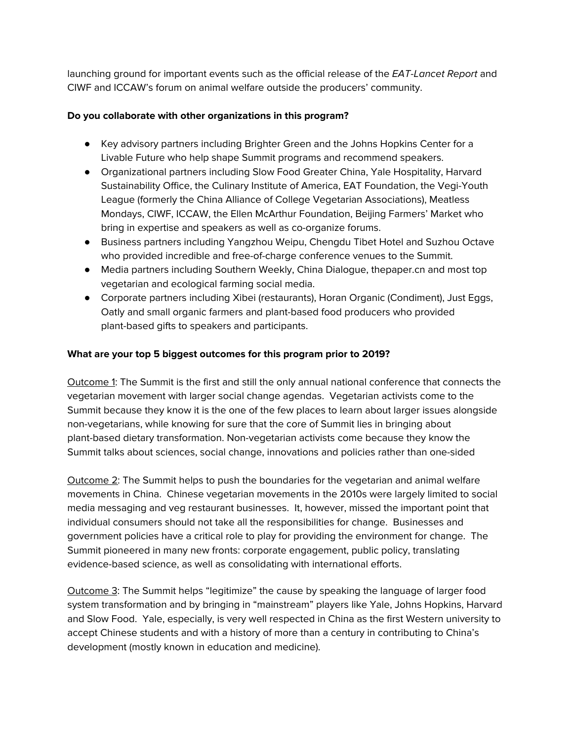launching ground for important events such as the official release of the EAT-Lancet Report and CIWF and ICCAW's forum on animal welfare outside the producers' community.

## **Do you collaborate with other organizations in this program?**

- Key advisory partners including Brighter Green and the Johns Hopkins Center for a Livable Future who help shape Summit programs and recommend speakers.
- Organizational partners including Slow Food Greater China, Yale Hospitality, Harvard Sustainability Office, the Culinary Institute of America, EAT Foundation, the Vegi-Youth League (formerly the China Alliance of College Vegetarian Associations), Meatless Mondays, CIWF, ICCAW, the Ellen McArthur Foundation, Beijing Farmers' Market who bring in expertise and speakers as well as co-organize forums.
- Business partners including Yangzhou Weipu, Chengdu Tibet Hotel and Suzhou Octave who provided incredible and free-of-charge conference venues to the Summit.
- Media partners including Southern Weekly, China Dialogue, thepaper.cn and most top vegetarian and ecological farming social media.
- Corporate partners including Xibei (restaurants), Horan Organic (Condiment), Just Eggs, Oatly and small organic farmers and plant-based food producers who provided plant-based gifts to speakers and participants.

## **What are your top 5 biggest outcomes for this program prior to 2019?**

Outcome 1: The Summit is the first and still the only annual national conference that connects the vegetarian movement with larger social change agendas. Vegetarian activists come to the Summit because they know it is the one of the few places to learn about larger issues alongside non-vegetarians, while knowing for sure that the core of Summit lies in bringing about plant-based dietary transformation. Non-vegetarian activists come because they know the Summit talks about sciences, social change, innovations and policies rather than one-sided

Outcome 2: The Summit helps to push the boundaries for the vegetarian and animal welfare movements in China. Chinese vegetarian movements in the 2010s were largely limited to social media messaging and veg restaurant businesses. It, however, missed the important point that individual consumers should not take all the responsibilities for change. Businesses and government policies have a critical role to play for providing the environment for change. The Summit pioneered in many new fronts: corporate engagement, public policy, translating evidence-based science, as well as consolidating with international efforts.

Outcome 3: The Summit helps "legitimize" the cause by speaking the language of larger food system transformation and by bringing in "mainstream" players like Yale, Johns Hopkins, Harvard and Slow Food. Yale, especially, is very well respected in China as the first Western university to accept Chinese students and with a history of more than a century in contributing to China's development (mostly known in education and medicine).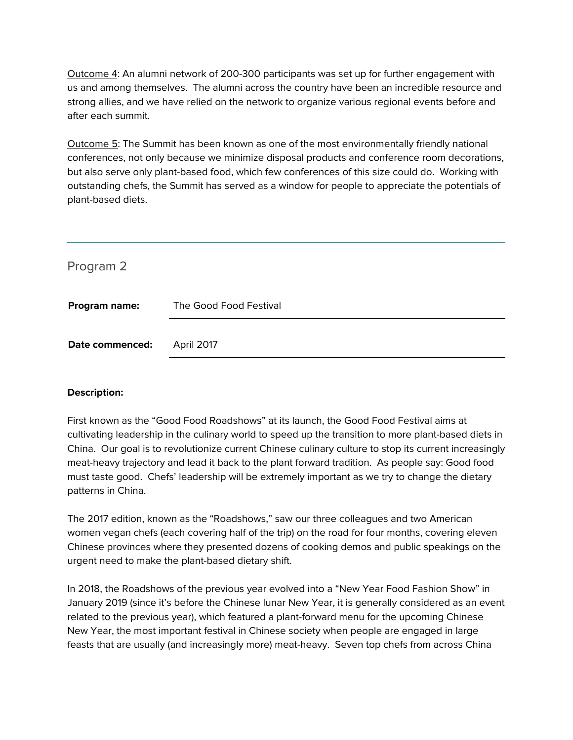Outcome 4: An alumni network of 200-300 participants was set up for further engagement with us and among themselves. The alumni across the country have been an incredible resource and strong allies, and we have relied on the network to organize various regional events before and after each summit.

Outcome 5: The Summit has been known as one of the most environmentally friendly national conferences, not only because we minimize disposal products and conference room decorations, but also serve only plant-based food, which few conferences of this size could do. Working with outstanding chefs, the Summit has served as a window for people to appreciate the potentials of plant-based diets.

| Program 2       |                        |
|-----------------|------------------------|
| Program name:   | The Good Food Festival |
| Date commenced: | April 2017             |

#### **Description:**

First known as the "Good Food Roadshows" at its launch, the Good Food Festival aims at cultivating leadership in the culinary world to speed up the transition to more plant-based diets in China. Our goal is to revolutionize current Chinese culinary culture to stop its current increasingly meat-heavy trajectory and lead it back to the plant forward tradition. As people say: Good food must taste good. Chefs' leadership will be extremely important as we try to change the dietary patterns in China.

The 2017 edition, known as the "Roadshows," saw our three colleagues and two American women vegan chefs (each covering half of the trip) on the road for four months, covering eleven Chinese provinces where they presented dozens of cooking demos and public speakings on the urgent need to make the plant-based dietary shift.

In 2018, the Roadshows of the previous year evolved into a "New Year Food Fashion Show" in January 2019 (since it's before the Chinese lunar New Year, it is generally considered as an event related to the previous year), which featured a plant-forward menu for the upcoming Chinese New Year, the most important festival in Chinese society when people are engaged in large feasts that are usually (and increasingly more) meat-heavy. Seven top chefs from across China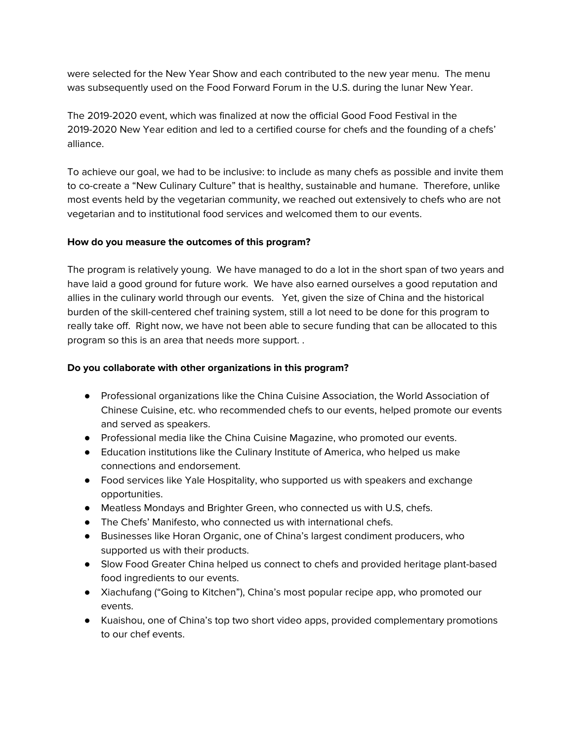were selected for the New Year Show and each contributed to the new year menu. The menu was subsequently used on the Food Forward Forum in the U.S. during the lunar New Year.

The 2019-2020 event, which was finalized at now the official Good Food Festival in the 2019-2020 New Year edition and led to a certified course for chefs and the founding of a chefs' alliance.

To achieve our goal, we had to be inclusive: to include as many chefs as possible and invite them to co-create a "New Culinary Culture" that is healthy, sustainable and humane. Therefore, unlike most events held by the vegetarian community, we reached out extensively to chefs who are not vegetarian and to institutional food services and welcomed them to our events.

## **How do you measure the outcomes of this program?**

The program is relatively young. We have managed to do a lot in the short span of two years and have laid a good ground for future work. We have also earned ourselves a good reputation and allies in the culinary world through our events. Yet, given the size of China and the historical burden of the skill-centered chef training system, still a lot need to be done for this program to really take off. Right now, we have not been able to secure funding that can be allocated to this program so this is an area that needs more support. .

### **Do you collaborate with other organizations in this program?**

- Professional organizations like the China Cuisine Association, the World Association of Chinese Cuisine, etc. who recommended chefs to our events, helped promote our events and served as speakers.
- Professional media like the China Cuisine Magazine, who promoted our events.
- Education institutions like the Culinary Institute of America, who helped us make connections and endorsement.
- Food services like Yale Hospitality, who supported us with speakers and exchange opportunities.
- Meatless Mondays and Brighter Green, who connected us with U.S, chefs.
- The Chefs' Manifesto, who connected us with international chefs.
- Businesses like Horan Organic, one of China's largest condiment producers, who supported us with their products.
- Slow Food Greater China helped us connect to chefs and provided heritage plant-based food ingredients to our events.
- Xiachufang ("Going to Kitchen"), China's most popular recipe app, who promoted our events.
- Kuaishou, one of China's top two short video apps, provided complementary promotions to our chef events.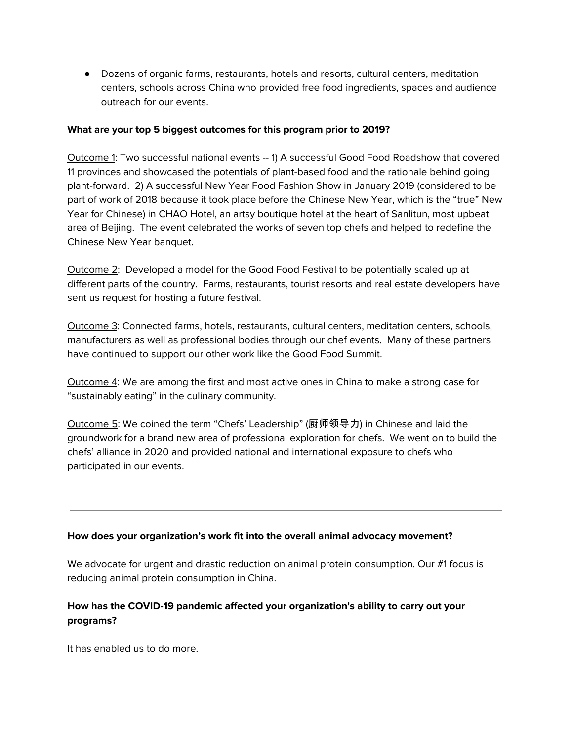● Dozens of organic farms, restaurants, hotels and resorts, cultural centers, meditation centers, schools across China who provided free food ingredients, spaces and audience outreach for our events.

#### **What are your top 5 biggest outcomes for this program prior to 2019?**

Outcome 1: Two successful national events -- 1) A successful Good Food Roadshow that covered 11 provinces and showcased the potentials of plant-based food and the rationale behind going plant-forward. 2) A successful New Year Food Fashion Show in January 2019 (considered to be part of work of 2018 because it took place before the Chinese New Year, which is the "true" New Year for Chinese) in CHAO Hotel, an artsy boutique hotel at the heart of Sanlitun, most upbeat area of Beijing. The event celebrated the works of seven top chefs and helped to redefine the Chinese New Year banquet.

Outcome 2: Developed a model for the Good Food Festival to be potentially scaled up at different parts of the country. Farms, restaurants, tourist resorts and real estate developers have sent us request for hosting a future festival.

Outcome 3: Connected farms, hotels, restaurants, cultural centers, meditation centers, schools, manufacturers as well as professional bodies through our chef events. Many of these partners have continued to support our other work like the Good Food Summit.

Outcome 4: We are among the first and most active ones in China to make a strong case for "sustainably eating" in the culinary community.

Outcome 5: We coined the term "Chefs' Leadership" (厨师领导力) in Chinese and laid the groundwork for a brand new area of professional exploration for chefs. We went on to build the chefs' alliance in 2020 and provided national and international exposure to chefs who participated in our events.

#### **How does your organization's work fit into the overall animal advocacy movement?**

We advocate for urgent and drastic reduction on animal protein consumption. Our #1 focus is reducing animal protein consumption in China.

## **How has the COVID-19 pandemic affected your organization's ability to carry out your programs?**

It has enabled us to do more.